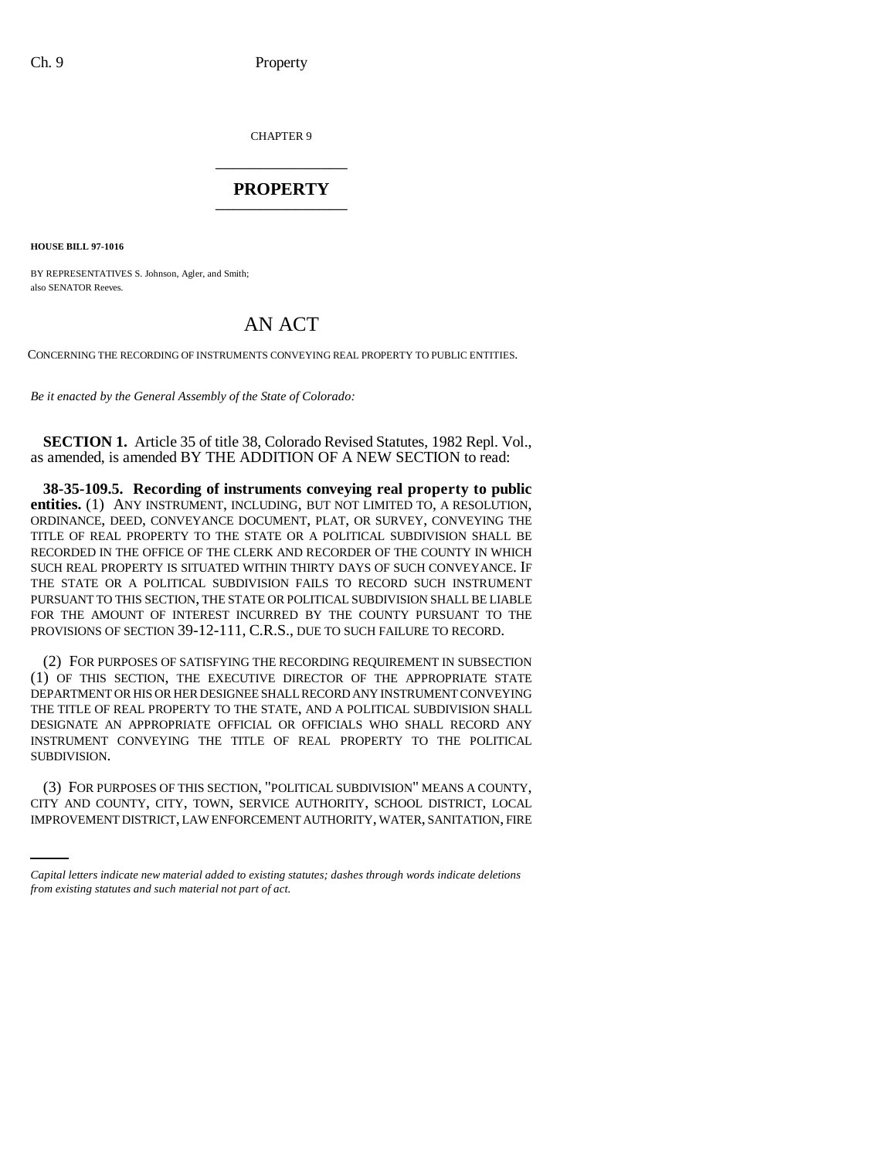CHAPTER 9 \_\_\_\_\_\_\_\_\_\_\_\_\_\_\_

## **PROPERTY** \_\_\_\_\_\_\_\_\_\_\_\_\_\_\_

**HOUSE BILL 97-1016**

BY REPRESENTATIVES S. Johnson, Agler, and Smith; also SENATOR Reeves.

## AN ACT

CONCERNING THE RECORDING OF INSTRUMENTS CONVEYING REAL PROPERTY TO PUBLIC ENTITIES.

*Be it enacted by the General Assembly of the State of Colorado:*

**SECTION 1.** Article 35 of title 38, Colorado Revised Statutes, 1982 Repl. Vol., as amended, is amended BY THE ADDITION OF A NEW SECTION to read:

**38-35-109.5. Recording of instruments conveying real property to public entities.** (1) ANY INSTRUMENT, INCLUDING, BUT NOT LIMITED TO, A RESOLUTION, ORDINANCE, DEED, CONVEYANCE DOCUMENT, PLAT, OR SURVEY, CONVEYING THE TITLE OF REAL PROPERTY TO THE STATE OR A POLITICAL SUBDIVISION SHALL BE RECORDED IN THE OFFICE OF THE CLERK AND RECORDER OF THE COUNTY IN WHICH SUCH REAL PROPERTY IS SITUATED WITHIN THIRTY DAYS OF SUCH CONVEYANCE. IF THE STATE OR A POLITICAL SUBDIVISION FAILS TO RECORD SUCH INSTRUMENT PURSUANT TO THIS SECTION, THE STATE OR POLITICAL SUBDIVISION SHALL BE LIABLE FOR THE AMOUNT OF INTEREST INCURRED BY THE COUNTY PURSUANT TO THE PROVISIONS OF SECTION 39-12-111, C.R.S., DUE TO SUCH FAILURE TO RECORD.

(2) FOR PURPOSES OF SATISFYING THE RECORDING REQUIREMENT IN SUBSECTION (1) OF THIS SECTION, THE EXECUTIVE DIRECTOR OF THE APPROPRIATE STATE DEPARTMENT OR HIS OR HER DESIGNEE SHALL RECORD ANY INSTRUMENT CONVEYING THE TITLE OF REAL PROPERTY TO THE STATE, AND A POLITICAL SUBDIVISION SHALL DESIGNATE AN APPROPRIATE OFFICIAL OR OFFICIALS WHO SHALL RECORD ANY INSTRUMENT CONVEYING THE TITLE OF REAL PROPERTY TO THE POLITICAL SUBDIVISION.

(3) FOR PURPOSES OF THIS SECTION, "POLITICAL SUBDIVISION" MEANS A COUNTY, CITY AND COUNTY, CITY, TOWN, SERVICE AUTHORITY, SCHOOL DISTRICT, LOCAL IMPROVEMENT DISTRICT, LAW ENFORCEMENT AUTHORITY, WATER, SANITATION, FIRE

*Capital letters indicate new material added to existing statutes; dashes through words indicate deletions from existing statutes and such material not part of act.*